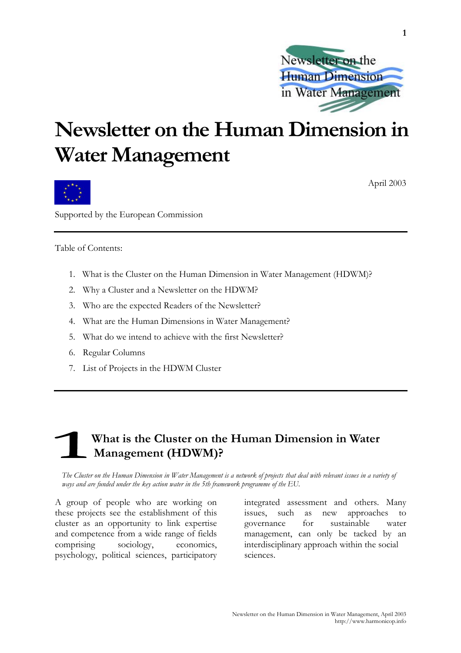

## **Newsletter on the Human Dimension in Water Management**



April 2003

**1** 

Supported by the European Commission

Table of Contents:

- 1. What is the Cluster on the Human Dimension in Water Management (HDWM)?
- 2. Why a Cluster and a Newsletter on the HDWM?
- 3. Who are the expected Readers of the Newsletter?
- 4. What are the Human Dimensions in Water Management?
- 5. What do we intend to achieve with the first Newsletter?
- 6. Regular Columns
- 7. List of Projects in the HDWM Cluster

### **What is the Cluster on the Human Dimension in Water Management (HDWM)?**

*The Cluster on the Human Dimension in Water Management is a network of projects that deal with relevant issues in a variety of ways and are funded under the key action water in the 5th framework programme of the EU.* 

A group of people who are working on these projects see the establishment of this cluster as an opportunity to link expertise and competence from a wide range of fields comprising sociology, economics, psychology, political sciences, participatory

integrated assessment and others. Many issues, such as new approaches to governance for sustainable water management, can only be tacked by an interdisciplinary approach within the social sciences.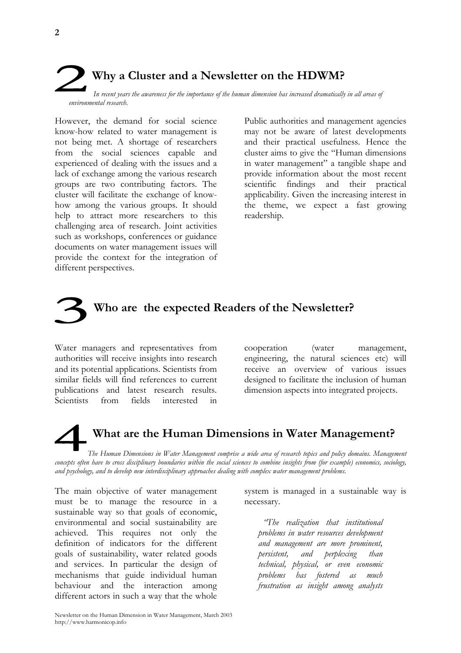

However, the demand for social science know-how related to water management is not being met. A shortage of researchers from the social sciences capable and experienced of dealing with the issues and a lack of exchange among the various research groups are two contributing factors. The cluster will facilitate the exchange of knowhow among the various groups. It should help to attract more researchers to this challenging area of research. Joint activities such as workshops, conferences or guidance documents on water management issues will provide the context for the integration of different perspectives.

Public authorities and management agencies may not be aware of latest developments and their practical usefulness. Hence the cluster aims to give the "Human dimensions in water management" a tangible shape and provide information about the most recent scientific findings and their practical applicability. Given the increasing interest in the theme, we expect a fast growing readership.

## **Who are the expected Readers of the Newsletter?**

Water managers and representatives from authorities will receive insights into research and its potential applications. Scientists from similar fields will find references to current publications and latest research results. Scientists from fields interested in cooperation (water management, engineering, the natural sciences etc) will receive an overview of various issues designed to facilitate the inclusion of human dimension aspects into integrated projects.

# **What are the Human Dimensions in Water Management?**

*The Human Dimensions in Water Management comprise a wide area of research topics and policy domains. Management concepts often have to cross disciplinary boundaries within the social sciences to combine insights from (for example) economics, sociology, and psychology, and to develop new interdisciplinary approaches dealing with complex water management problems.* 

The main objective of water management must be to manage the resource in a sustainable way so that goals of economic, environmental and social sustainability are achieved. This requires not only the definition of indicators for the different goals of sustainability, water related goods and services. In particular the design of mechanisms that guide individual human behaviour and the interaction among different actors in such a way that the whole

system is managed in a sustainable way is necessary.

 *"The realization that institutional problems in water resources development and management are more prominent, persistent, and perplexing than technical, physical, or even economic problems has fostered as much frustration as insight among analysts*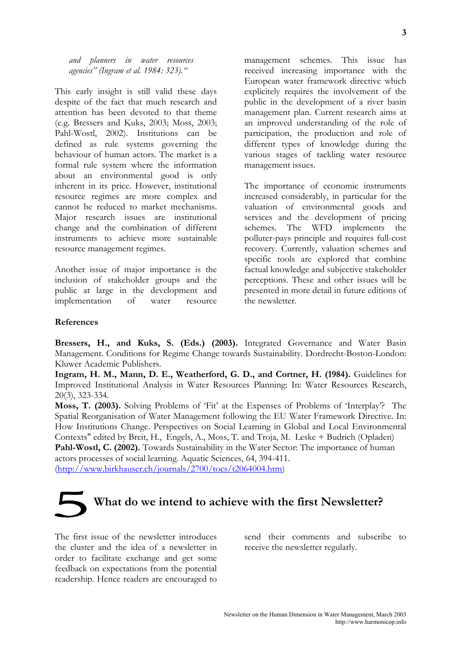*and planners in water resources agencies" (Ingram et al. 1984: 323)."* 

This early insight is still valid these days despite of the fact that much research and attention has been devoted to that theme (e.g. Bressers and Kuks, 2003; Moss, 2003; Pahl-Wostl, 2002). Institutions can be defined as rule systems governing the behaviour of human actors. The market is a formal rule system where the information about an environmental good is only inherent in its price. However, institutional resource regimes are more complex and cannot be reduced to market mechanisms. Major research issues are institutional change and the combination of different instruments to achieve more sustainable resource management regimes.

Another issue of major importance is the inclusion of stakeholder groups and the public at large in the development and implementation of water resource

management schemes. This issue has received increasing importance with the European water framework directive which explicitely requires the involvement of the public in the development of a river basin management plan. Current research aims at an improved understanding of the role of participation, the production and role of different types of knowledge during the various stages of tackling water resource management issues.

The importance of economic instruments increased considerably, in particular for the valuation of environmental goods and services and the development of pricing schemes. The WFD implements the polluter-pays principle and requires full-cost recovery. Currently, valuation schemes and specific tools are explored that combine factual knowledge and subjective stakeholder perceptions. These and other issues will be presented in more detail in future editions of the newsletter.

#### **References**

**Bressers, H., and Kuks, S. (Eds.) (2003).** Integrated Governance and Water Basin Management. Conditions for Regime Change towards Sustainability. Dordrecht-Boston-London: Kluwer Academic Publishers.

**Ingram, H. M., Mann, D. E., Weatherford, G. D., and Cortner, H. (1984).** Guidelines for Improved Institutional Analysis in Water Resources Planning: In: Water Resources Research, 20(3), 323-334.

**Moss, T. (2003).** Solving Problems of 'Fit' at the Expenses of Problems of 'Interplay'? The Spatial Reorganisation of Water Management following the EU Water Framework Directive. In: How Institutions Change. Perspectives on Social Learning in Global and Local Environmental Contexts" edited by Breit, H., Engels, A., Moss, T. and Troja, M. Leske + Budrich (Opladen) Pahl-Wostl, C. (2002). Towards Sustainability in the Water Sector: The importance of human actors processes of social learning. Aquatic Sciences, 64, 394-411.

(http://www.birkhauser.ch/journals/2700/tocs/t2064004.htm)

# **What do we intend to achieve with the first Newsletter?**

The first issue of the newsletter introduces the cluster and the idea of a newsletter in order to facilitate exchange and get some feedback on expectations from the potential readership. Hence readers are encouraged to

send their comments and subscribe to receive the newsletter regularly.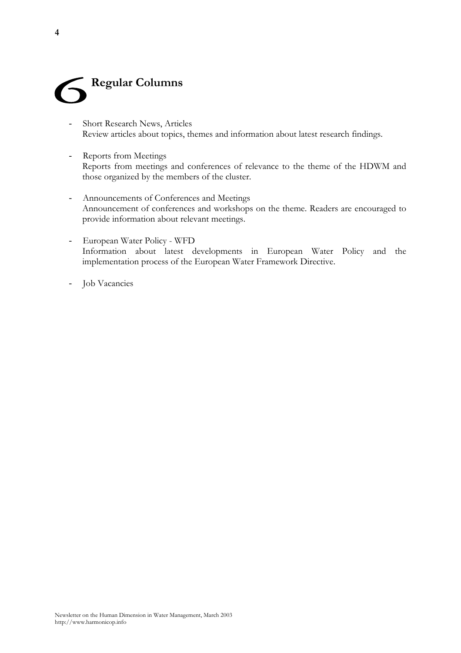

- Short Research News, Articles Review articles about topics, themes and information about latest research findings.
- Reports from Meetings Reports from meetings and conferences of relevance to the theme of the HDWM and those organized by the members of the cluster.
- Announcements of Conferences and Meetings Announcement of conferences and workshops on the theme. Readers are encouraged to provide information about relevant meetings.
- European Water Policy WFD Information about latest developments in European Water Policy and the implementation process of the European Water Framework Directive.
- Job Vacancies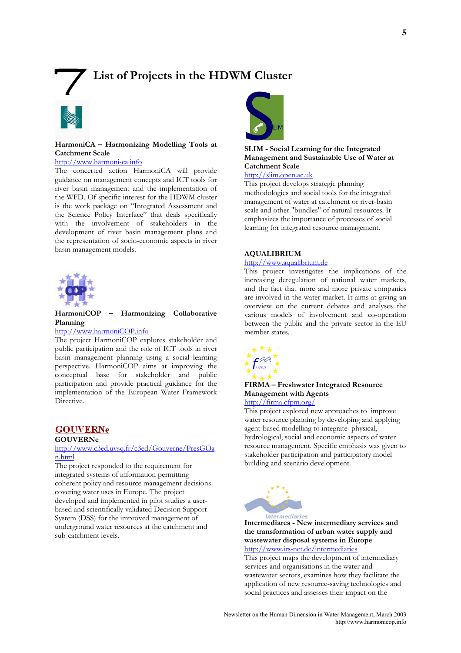### **List of Projects in the HDWM Cluster**



#### **HarmoniCA – Harmonizing Modelling Tools at Catchment Scale**

#### http://www.harmoni-ca.info

The concerted action HarmoniCA will provide guidance on management concepts and ICT tools for river basin management and the implementation of the WFD. Of specific interest for the HDWM cluster is the work package on "Integrated Assessment and the Science Policy Interface" that deals specifically with the involvement of stakeholders in the development of river basin management plans and the representation of socio-economic aspects in river basin management models.



#### **HarmoniCOP – Harmonizing Collaborative Planning**

#### http://www.harmoniCOP.info

The project HarmoniCOP explores stakeholder and public participation and the role of ICT tools in river basin management planning using a social learning perspective. HarmoniCOP aims at improving the conceptual base for stakeholder and public participation and provide practical guidance for the implementation of the European Water Framework Directive.

#### **GOUVERNe**

#### **GOUVERNe**

#### http://www.c3ed.uvsq.fr/c3ed/Gouverne/PresGOa n.html

The project responded to the requirement for integrated systems of information permitting coherent policy and resource management decisions covering water uses in Europe. The project developed and implemented in pilot studies a userbased and scientifically validated Decision Support System (DSS) for the improved management of underground water resources at the catchment and sub-catchment levels.



#### **SLIM - Social Learning for the Integrated Management and Sustainable Use of Water at Catchment Scale**

#### http://slim.open.ac.uk

This project develops strategic planning methodologies and social tools for the integrated management of water at catchment or river-basin scale and other "bundles" of natural resources. It emphasizes the importance of processes of social learning for integrated resource management.

#### **AQUALIBRIUM**

#### http://www.aqualibrium.de

This project investigates the implications of the increasing deregulation of national water markets, and the fact that more and more private companies are involved in the water market. It aims at giving an overview on the current debates and analyses the various models of involvement and co-operation between the public and the private sector in the EU member states.



#### **FIRMA – Freshwater Integrated Resource Management with Agents**

#### http://firma.cfpm.org/

This project explored new approaches to improve water resource planning by developing and applying agent-based modelling to integrate physical, hydrological, social and economic aspects of water resource management. Specific emphasis was given to stakeholder participation and participatory model building and scenario development.



#### **Intermediares - New intermediary services and the transformation of urban water supply and wastewater disposal systems in Europe**  http://www.irs-net.de/intermediaries

This project maps the development of intermediary services and organisations in the water and wastewater sectors, examines how they facilitate the application of new resource-saving technologies and social practices and assesses their impact on the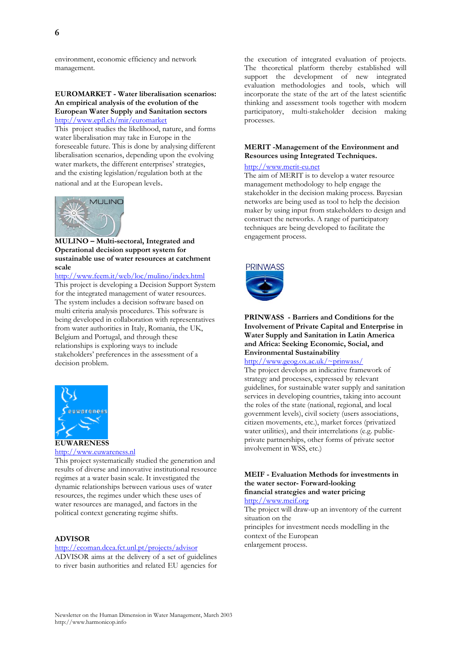#### **EUROMARKET - Water liberalisation scenarios: An empirical analysis of the evolution of the European Water Supply and Sanitation sectors** http://www.epfl.ch/mir/euromarket

This project studies the likelihood, nature, and forms water liberalisation may take in Europe in the foreseeable future. This is done by analysing different liberalisation scenarios, depending upon the evolving water markets, the different enterprises' strategies, and the existing legislation/regulation both at the national and at the European levels.



**MULINO – Multi-sectoral, Integrated and Operational decision support system for sustainable use of water resources at catchment scale** 

http://www.feem.it/web/loc/mulino/index.html This project is developing a Decision Support System for the integrated management of water resources. The system includes a decision software based on multi criteria analysis procedures. This software is being developed in collaboration with representatives from water authorities in Italy, Romania, the UK, Belgium and Portugal, and through these relationships is exploring ways to include stakeholders' preferences in the assessment of a decision problem.



#### http://www.euwareness.nl

This project systematically studied the generation and results of diverse and innovative institutional resource regimes at a water basin scale. It investigated the dynamic relationships between various uses of water resources, the regimes under which these uses of water resources are managed, and factors in the political context generating regime shifts.

#### **ADVISOR**

#### http://ecoman.dcea.fct.unl.pt/projects/advisor

ADVISOR aims at the delivery of a set of guidelines to river basin authorities and related EU agencies for

the execution of integrated evaluation of projects. The theoretical platform thereby established will support the development of new integrated evaluation methodologies and tools, which will incorporate the state of the art of the latest scientific thinking and assessment tools together with modern participatory, multi-stakeholder decision making processes.

#### **MERIT -Management of the Environment and Resources using Integrated Techniques.**

#### http://www.merit-eu.net

The aim of MERIT is to develop a water resource management methodology to help engage the stakeholder in the decision making process. Bayesian networks are being used as tool to help the decision maker by using input from stakeholders to design and construct the networks. A range of participatory techniques are being developed to facilitate the engagement process.



#### **PRINWASS - Barriers and Conditions for the Involvement of Private Capital and Enterprise in Water Supply and Sanitation in Latin America and Africa: Seeking Economic, Social, and Environmental Sustainability**

http://www.geog.ox.ac.uk/~prinwass/

The project develops an indicative framework of strategy and processes, expressed by relevant guidelines, for sustainable water supply and sanitation services in developing countries, taking into account the roles of the state (national, regional, and local government levels), civil society (users associations, citizen movements, etc.), market forces (privatized water utilities), and their interrelations (e.g. publicprivate partnerships, other forms of private sector involvement in WSS, etc.)

#### **MEIF - Evaluation Methods for investments in the water sector- Forward-looking financial strategies and water pricing**

http://www.meif.org

The project will draw-up an inventory of the current situation on the principles for investment needs modelling in the context of the European enlargement process.